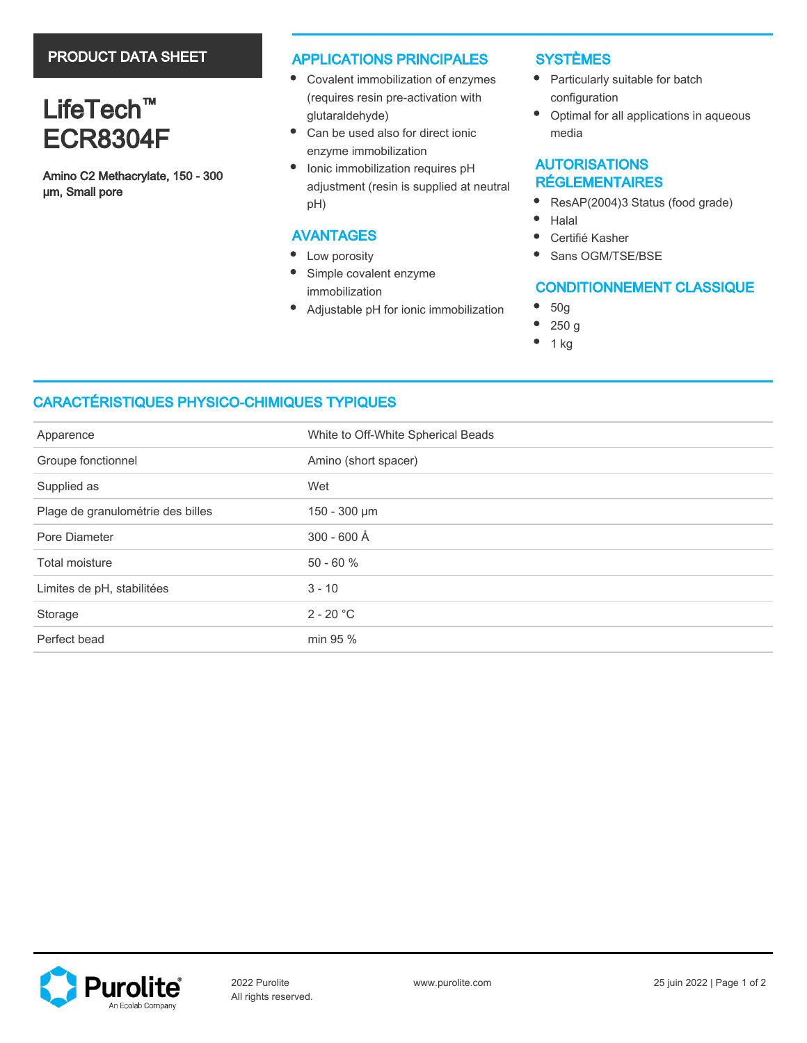# PRODUCT DATA SHEET

# LifeTech<sup>™</sup> ECR8304F

Amino C2 Methacrylate, 150 - 300 µm, Small pore

### APPLICATIONS PRINCIPALES

- Covalent immobilization of enzymes (requires resin pre-activation with glutaraldehyde)
- $\bullet$ Can be used also for direct ionic enzyme immobilization
- Ionic immobilization requires pH adjustment (resin is supplied at neutral pH)

## AVANTAGES

- $\bullet$ Low porosity
- $\bullet$ Simple covalent enzyme immobilization
- ٠ Adjustable pH for ionic immobilization

## **SYSTÈMES**

- Particularly suitable for batch configuration
- $\bullet$ Optimal for all applications in aqueous media

# AUTORISATIONS RÉGLEMENTAIRES

- $\bullet$ ResAP(2004)3 Status (food grade)
- $\bullet$ Halal
- $\bullet$ Certifié Kasher
- Sans OGM/TSE/BSE

# CONDITIONNEMENT CLASSIQUE

- 50g
- 250 g
- 1 kg

# CARACTÉRISTIQUES PHYSICO-CHIMIQUES TYPIQUES

| Apparence                         | White to Off-White Spherical Beads |  |  |
|-----------------------------------|------------------------------------|--|--|
| Groupe fonctionnel                | Amino (short spacer)               |  |  |
| Supplied as                       | Wet                                |  |  |
| Plage de granulométrie des billes | 150 - 300 µm                       |  |  |
| Pore Diameter                     | 300 - 600 Å                        |  |  |
| Total moisture                    | $50 - 60 %$                        |  |  |
| Limites de pH, stabilitées        | $3 - 10$                           |  |  |
| Storage                           | $2 - 20 °C$                        |  |  |
| Perfect bead                      | min 95 %                           |  |  |